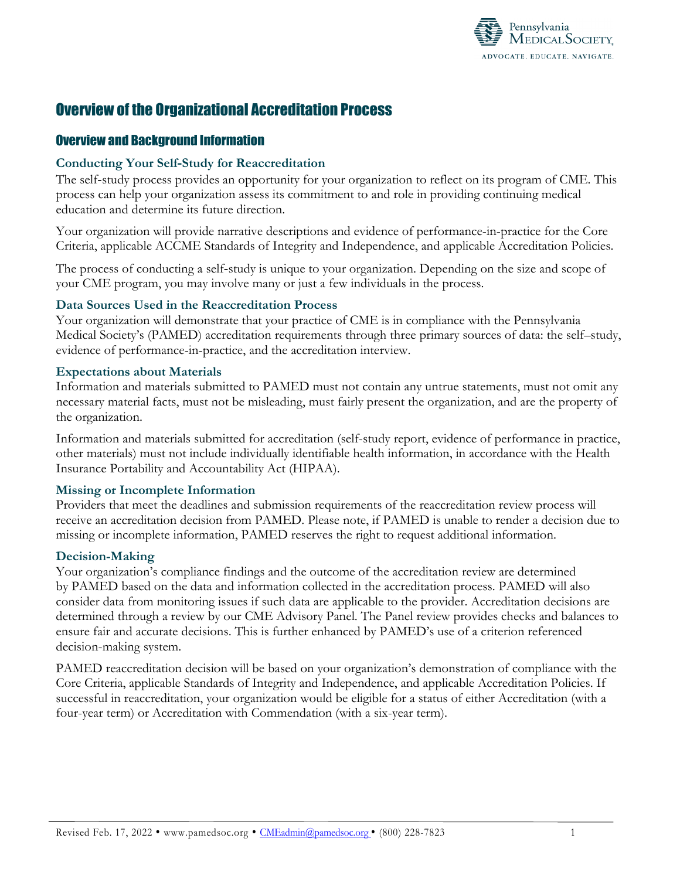

# Overview of the Organizational Accreditation Process

# Overview and Background Information

### **Conducting Your Self‐Study for Reaccreditation**

The self-study process provides an opportunity for your organization to reflect on its program of CME. This process can help your organization assess its commitment to and role in providing continuing medical education and determine its future direction.

Your organization will provide narrative descriptions and evidence of performance-in-practice for the Core Criteria, applicable ACCME Standards of Integrity and Independence, and applicable Accreditation Policies.

The process of conducting a self-study is unique to your organization. Depending on the size and scope of your CME program, you may involve many or just a few individuals in the process.

## **Data Sources Used in the Reaccreditation Process**

Your organization will demonstrate that your practice of CME is in compliance with the Pennsylvania Medical Society's (PAMED) accreditation requirements through three primary sources of data: the self–study, evidence of performance-in-practice, and the accreditation interview.

### **Expectations about Materials**

Information and materials submitted to PAMED must not contain any untrue statements, must not omit any necessary material facts, must not be misleading, must fairly present the organization, and are the property of the organization.

Information and materials submitted for accreditation (self-study report, evidence of performance in practice, other materials) must not include individually identifiable health information, in accordance with the Health Insurance Portability and Accountability Act (HIPAA).

### **Missing or Incomplete Information**

Providers that meet the deadlines and submission requirements of the reaccreditation review process will receive an accreditation decision from PAMED. Please note, if PAMED is unable to render a decision due to missing or incomplete information, PAMED reserves the right to request additional information.

### **Decision-Making**

Your organization's compliance findings and the outcome of the accreditation review are determined by PAMED based on the data and information collected in the accreditation process. PAMED will also consider data from monitoring issues if such data are applicable to the provider. Accreditation decisions are determined through a review by our CME Advisory Panel. The Panel review provides checks and balances to ensure fair and accurate decisions. This is further enhanced by PAMED's use of a criterion referenced decision-making system.

PAMED reaccreditation decision will be based on your organization's demonstration of compliance with the Core Criteria, applicable Standards of Integrity and Independence, and applicable Accreditation Policies. If successful in reaccreditation, your organization would be eligible for a status of either Accreditation (with a four-year term) or Accreditation with Commendation (with a six-year term).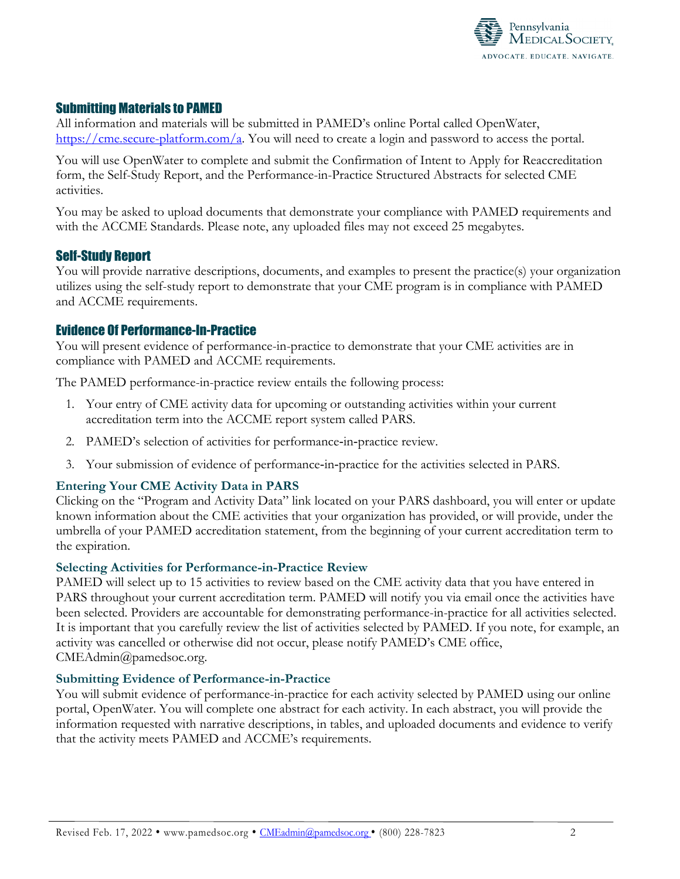

# Submitting Materials to PAMED

All information and materials will be submitted in PAMED's online Portal called OpenWater, [https://cme.secure-platform.com/a.](https://cme.secure-platform.com/a) You will need to create a login and password to access the portal.

You will use OpenWater to complete and submit the Confirmation of Intent to Apply for Reaccreditation form, the Self-Study Report, and the Performance-in-Practice Structured Abstracts for selected CME activities.

You may be asked to upload documents that demonstrate your compliance with PAMED requirements and with the ACCME Standards. Please note, any uploaded files may not exceed 25 megabytes.

## Self-Study Report

You will provide narrative descriptions, documents, and examples to present the practice(s) your organization utilizes using the self-study report to demonstrate that your CME program is in compliance with PAMED and ACCME requirements.

## Evidence Of Performance-In-Practice

You will present evidence of performance-in-practice to demonstrate that your CME activities are in compliance with PAMED and ACCME requirements.

The PAMED performance-in-practice review entails the following process:

- 1. Your entry of CME activity data for upcoming or outstanding activities within your current accreditation term into the ACCME report system called PARS.
- 2. PAMED's selection of activities for performance-in-practice review.
- 3. Your submission of evidence of performance‐in‐practice for the activities selected in PARS.

### **Entering Your CME Activity Data in PARS**

Clicking on the "Program and Activity Data" link located on your PARS dashboard, you will enter or update known information about the CME activities that your organization has provided, or will provide, under the umbrella of your PAMED accreditation statement, from the beginning of your current accreditation term to the expiration.

### **Selecting Activities for Performance-in-Practice Review**

PAMED will select up to 15 activities to review based on the CME activity data that you have entered in PARS throughout your current accreditation term. PAMED will notify you via email once the activities have been selected. Providers are accountable for demonstrating performance-in-practice for all activities selected. It is important that you carefully review the list of activities selected by PAMED. If you note, for example, an activity was cancelled or otherwise did not occur, please notify PAMED's CME office, CMEAdmin@pamedsoc.org.

### **Submitting Evidence of Performance-in-Practice**

You will submit evidence of performance-in-practice for each activity selected by PAMED using our online portal, OpenWater. You will complete one abstract for each activity. In each abstract, you will provide the information requested with narrative descriptions, in tables, and uploaded documents and evidence to verify that the activity meets PAMED and ACCME's requirements.